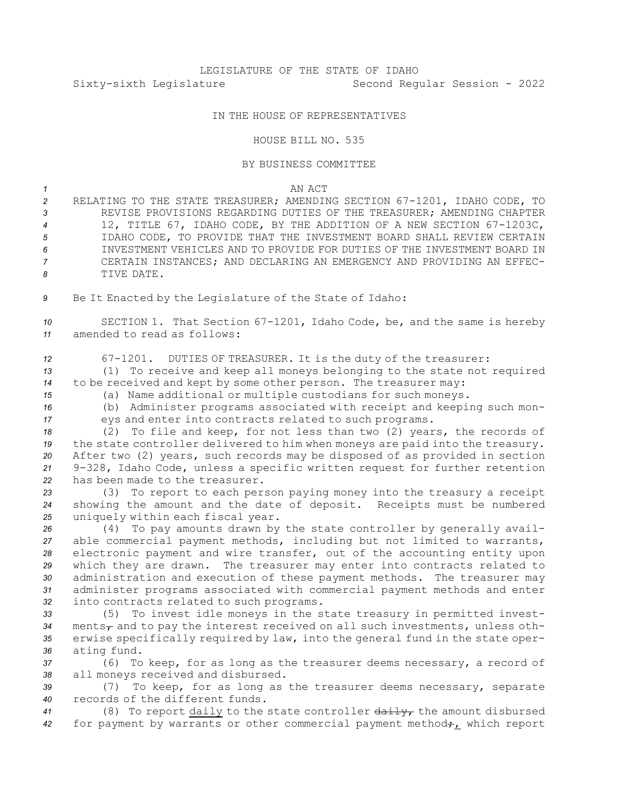## IN THE HOUSE OF REPRESENTATIVES

## HOUSE BILL NO. 535

## BY BUSINESS COMMITTEE

*1* AN ACT

- *<sup>2</sup>* RELATING TO THE STATE TREASURER; AMENDING SECTION 67-1201, IDAHO CODE, TO *3* REVISE PROVISIONS REGARDING DUTIES OF THE TREASURER; AMENDING CHAPTER *<sup>4</sup>* 12, TITLE 67, IDAHO CODE, BY THE ADDITION OF A NEW SECTION 67-1203C, *5* IDAHO CODE, TO PROVIDE THAT THE INVESTMENT BOARD SHALL REVIEW CERTAIN *6* INVESTMENT VEHICLES AND TO PROVIDE FOR DUTIES OF THE INVESTMENT BOARD IN *7* CERTAIN INSTANCES; AND DECLARING AN EMERGENCY AND PROVIDING AN EFFEC-*8* TIVE DATE.
- *<sup>9</sup>* Be It Enacted by the Legislature of the State of Idaho:

*<sup>10</sup>* SECTION 1. That Section 67-1201, Idaho Code, be, and the same is hereby *11* amended to read as follows:

*<sup>12</sup>* 67-1201. DUTIES OF TREASURER. It is the duty of the treasurer:

*<sup>13</sup>* (1) To receive and keep all moneys belonging to the state not required *<sup>14</sup>* to be received and kept by some other person. The treasurer may:

*<sup>15</sup>* (a) Name additional or multiple custodians for such moneys.

*<sup>16</sup>* (b) Administer programs associated with receipt and keeping such mon-*<sup>17</sup>* eys and enter into contracts related to such programs.

 (2) To file and keep, for not less than two (2) years, the records of the state controller delivered to him when moneys are paid into the treasury. After two (2) years, such records may be disposed of as provided in section 9-328, Idaho Code, unless <sup>a</sup> specific written request for further retention has been made to the treasurer.

*<sup>23</sup>* (3) To report to each person paying money into the treasury <sup>a</sup> receipt *<sup>24</sup>* showing the amount and the date of deposit. Receipts must be numbered *<sup>25</sup>* uniquely within each fiscal year.

 (4) To pay amounts drawn by the state controller by generally avail- able commercial payment methods, including but not limited to warrants, electronic payment and wire transfer, out of the accounting entity upon which they are drawn. The treasurer may enter into contracts related to administration and execution of these payment methods. The treasurer may administer programs associated with commercial payment methods and enter into contracts related to such programs.

 (5) To invest idle moneys in the state treasury in permitted invest-34 ments<sub>7</sub> and to pay the interest received on all such investments, unless oth- erwise specifically required by law, into the general fund in the state oper-ating fund.

*<sup>37</sup>* (6) To keep, for as long as the treasurer deems necessary, <sup>a</sup> record of *<sup>38</sup>* all moneys received and disbursed.

*<sup>39</sup>* (7) To keep, for as long as the treasurer deems necessary, separate *40* records of the different funds.

*<sup>41</sup>* (8) To report daily to the state controller daily, the amount disbursed 42 for payment by warrants or other commercial payment method<sub>7</sub>, which report